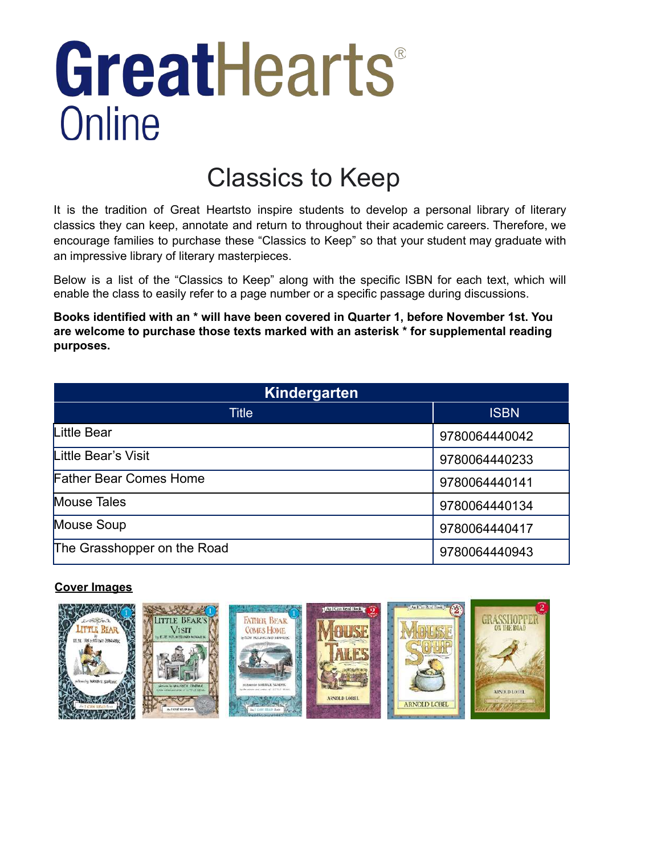# GreatHearts® Online

## Classics to Keep

It is the tradition of Great Heartsto inspire students to develop a personal library of literary classics they can keep, annotate and return to throughout their academic careers. Therefore, we encourage families to purchase these "Classics to Keep" so that your student may graduate with an impressive library of literary masterpieces.

Below is a list of the "Classics to Keep" along with the specific ISBN for each text, which will enable the class to easily refer to a page number or a specific passage during discussions.

**Books identified with an \* will have been covered in Quarter 1, before November 1st. You are welcome to purchase those texts marked with an asterisk \* for supplemental reading purposes.**

| <b>Kindergarten</b>           |               |  |
|-------------------------------|---------------|--|
| Title                         | <b>ISBN</b>   |  |
| Little Bear                   | 9780064440042 |  |
| Little Bear's Visit           | 9780064440233 |  |
| <b>Father Bear Comes Home</b> | 9780064440141 |  |
| Mouse Tales                   | 9780064440134 |  |
| Mouse Soup                    | 9780064440417 |  |
| The Grasshopper on the Road   | 9780064440943 |  |

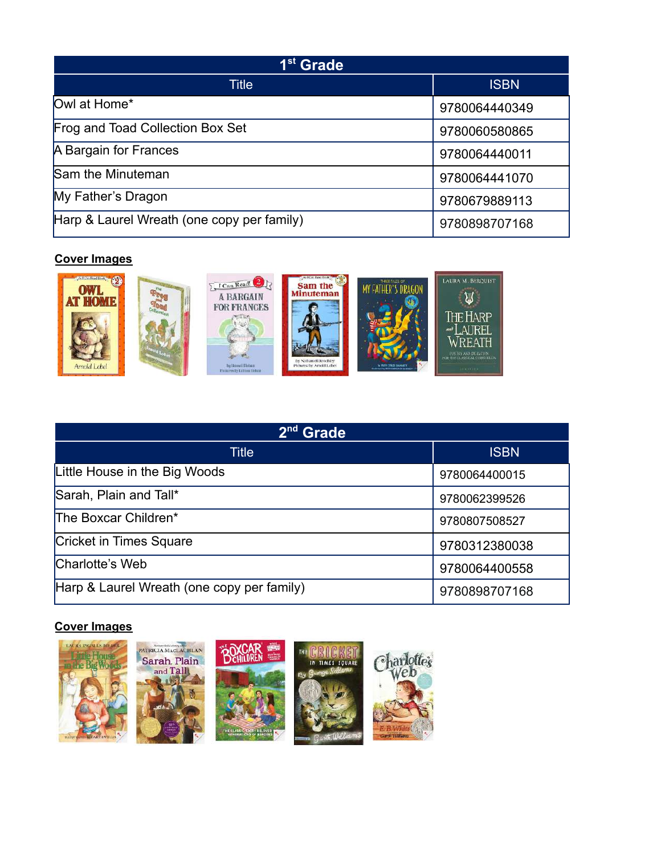| 1 <sup>st</sup> Grade                      |               |
|--------------------------------------------|---------------|
| Title                                      | <b>ISBN</b>   |
| Owl at Home*                               | 9780064440349 |
| Frog and Toad Collection Box Set           | 9780060580865 |
| A Bargain for Frances                      | 9780064440011 |
| Sam the Minuteman                          | 9780064441070 |
| My Father's Dragon                         | 9780679889113 |
| Harp & Laurel Wreath (one copy per family) | 9780898707168 |



| $2^{nd}$<br><b>Grade</b>                   |               |  |
|--------------------------------------------|---------------|--|
| Title                                      | <b>ISBN</b>   |  |
| Little House in the Big Woods              | 9780064400015 |  |
| Sarah, Plain and Tall*                     | 9780062399526 |  |
| The Boxcar Children*                       | 9780807508527 |  |
| Cricket in Times Square                    | 9780312380038 |  |
| Charlotte's Web                            | 9780064400558 |  |
| Harp & Laurel Wreath (one copy per family) | 9780898707168 |  |

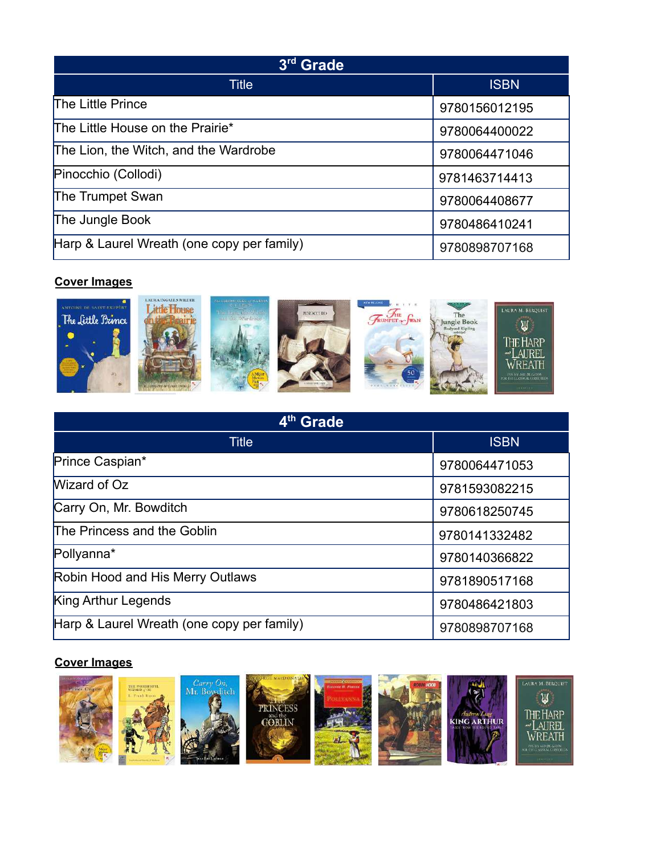| 3 <sup>rd</sup> Grade                      |               |
|--------------------------------------------|---------------|
| <b>Title</b>                               | <b>ISBN</b>   |
| The Little Prince                          | 9780156012195 |
| The Little House on the Prairie*           | 9780064400022 |
| The Lion, the Witch, and the Wardrobe      | 9780064471046 |
| Pinocchio (Collodi)                        | 9781463714413 |
| The Trumpet Swan                           | 9780064408677 |
| The Jungle Book                            | 9780486410241 |
| Harp & Laurel Wreath (one copy per family) | 9780898707168 |



| 4 <sup>th</sup> Grade                      |               |
|--------------------------------------------|---------------|
| <b>Title</b>                               | <b>ISBN</b>   |
| Prince Caspian*                            | 9780064471053 |
| Wizard of Oz                               | 9781593082215 |
| Carry On, Mr. Bowditch                     | 9780618250745 |
| The Princess and the Goblin                | 9780141332482 |
| Pollyanna*                                 | 9780140366822 |
| Robin Hood and His Merry Outlaws           | 9781890517168 |
| King Arthur Legends                        | 9780486421803 |
| Harp & Laurel Wreath (one copy per family) | 9780898707168 |

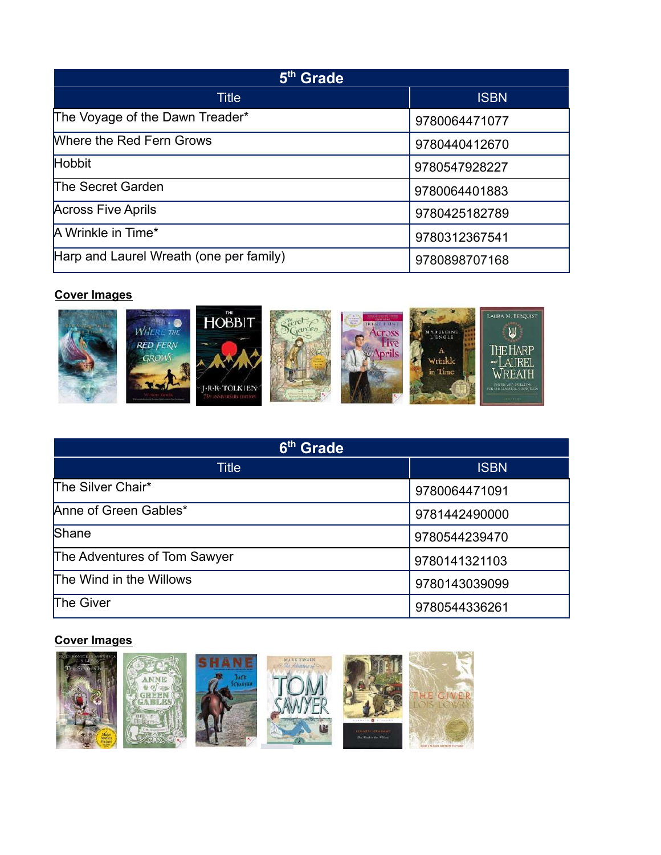| 5 <sup>th</sup> Grade                   |               |
|-----------------------------------------|---------------|
| <b>Title</b>                            | <b>ISBN</b>   |
| The Voyage of the Dawn Treader*         | 9780064471077 |
| Where the Red Fern Grows                | 9780440412670 |
| Hobbit                                  | 9780547928227 |
| The Secret Garden                       | 9780064401883 |
| <b>Across Five Aprils</b>               | 9780425182789 |
| A Wrinkle in Time*                      | 9780312367541 |
| Harp and Laurel Wreath (one per family) | 9780898707168 |



| 6 <sup>th</sup> Grade        |               |
|------------------------------|---------------|
| Title                        | <b>ISBN</b>   |
| The Silver Chair*            | 9780064471091 |
| Anne of Green Gables*        | 9781442490000 |
| Shane                        | 9780544239470 |
| The Adventures of Tom Sawyer | 9780141321103 |
| The Wind in the Willows      | 9780143039099 |
| The Giver                    | 9780544336261 |